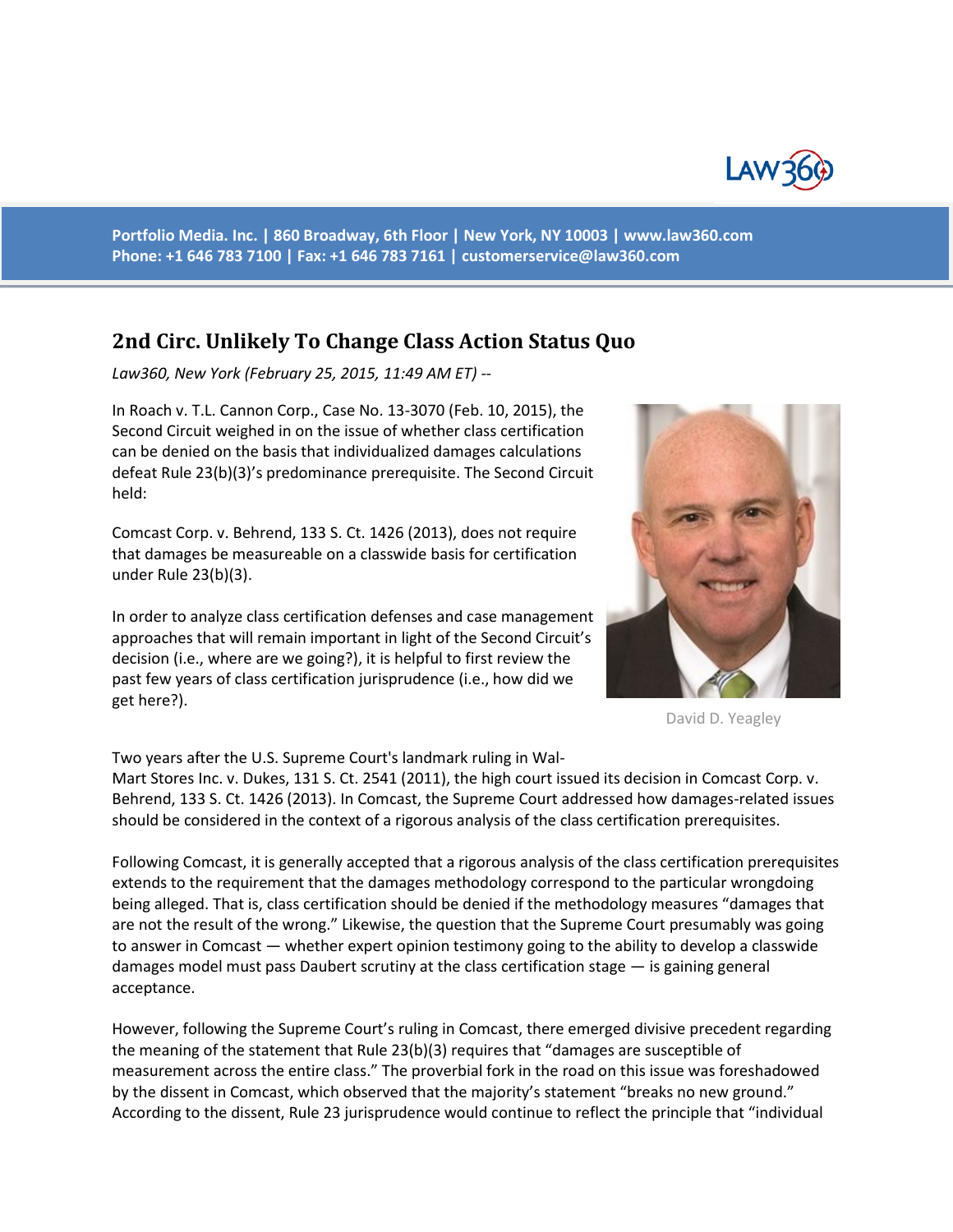

**Portfolio Media. Inc. | 860 Broadway, 6th Floor | New York, NY 10003 | www.law360.com Phone: +1 646 783 7100 | Fax: +1 646 783 7161 | [customerservice@law360.com](mailto:customerservice@law360.com)**

## **2nd Circ. Unlikely To Change Class Action Status Quo**

*Law360, New York (February 25, 2015, 11:49 AM ET) --*

In Roach v. T.L. Cannon Corp., Case No. 13-3070 (Feb. 10, 2015), the Second Circuit weighed in on the issue of whether class certification can be denied on the basis that individualized damages calculations defeat Rule 23(b)(3)'s predominance prerequisite. The Second Circuit held:

Comcast Corp. v. Behrend, 133 S. Ct. 1426 (2013), does not require that damages be measureable on a classwide basis for certification under Rule 23(b)(3).

In order to analyze class certification defenses and case management approaches that will remain important in light of the Second Circuit's decision (i.e., where are we going?), it is helpful to first review the past few years of class certification jurisprudence (i.e., how did we get here?).

Two years after the U.S. Supreme Court's landmark ruling in Wal-

Mart Stores Inc. v. Dukes, 131 S. Ct. 2541 (2011), the high court issued its decision in Comcast Corp. v. Behrend, 133 S. Ct. 1426 (2013). In Comcast, the Supreme Court addressed how damages-related issues should be considered in the context of a rigorous analysis of the class certification prerequisites.

Following Comcast, it is generally accepted that a rigorous analysis of the class certification prerequisites extends to the requirement that the damages methodology correspond to the particular wrongdoing being alleged. That is, class certification should be denied if the methodology measures "damages that are not the result of the wrong." Likewise, the question that the Supreme Court presumably was going to answer in Comcast — whether expert opinion testimony going to the ability to develop a classwide damages model must pass Daubert scrutiny at the class certification stage — is gaining general acceptance.

However, following the Supreme Court's ruling in Comcast, there emerged divisive precedent regarding the meaning of the statement that Rule 23(b)(3) requires that "damages are susceptible of measurement across the entire class." The proverbial fork in the road on this issue was foreshadowed by the dissent in Comcast, which observed that the majority's statement "breaks no new ground." According to the dissent, Rule 23 jurisprudence would continue to reflect the principle that "individual



David D. Yeagley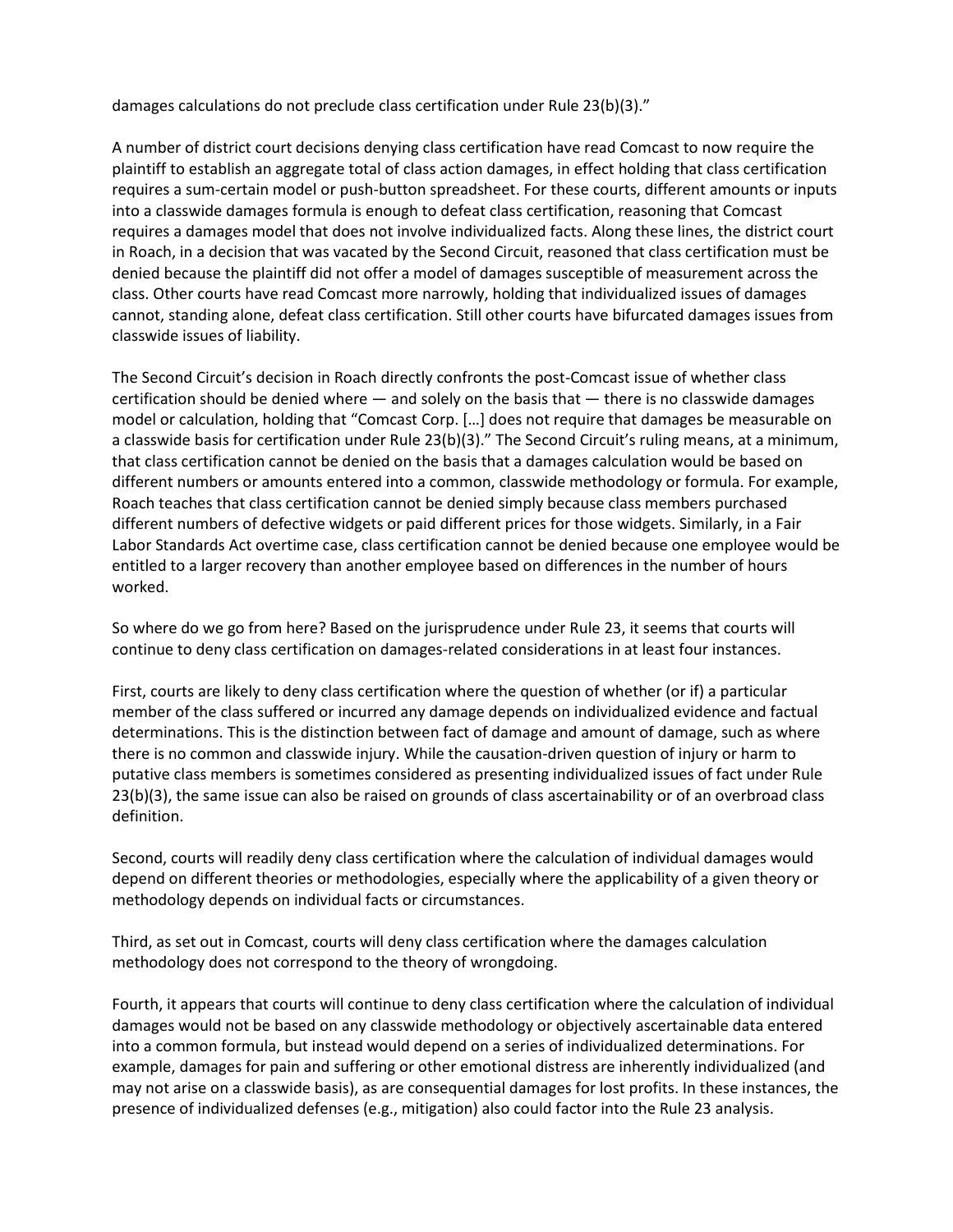damages calculations do not preclude class certification under Rule 23(b)(3)."

A number of district court decisions denying class certification have read Comcast to now require the plaintiff to establish an aggregate total of class action damages, in effect holding that class certification requires a sum-certain model or push-button spreadsheet. For these courts, different amounts or inputs into a classwide damages formula is enough to defeat class certification, reasoning that Comcast requires a damages model that does not involve individualized facts. Along these lines, the district court in Roach, in a decision that was vacated by the Second Circuit, reasoned that class certification must be denied because the plaintiff did not offer a model of damages susceptible of measurement across the class. Other courts have read Comcast more narrowly, holding that individualized issues of damages cannot, standing alone, defeat class certification. Still other courts have bifurcated damages issues from classwide issues of liability.

The Second Circuit's decision in Roach directly confronts the post-Comcast issue of whether class certification should be denied where  $-$  and solely on the basis that  $-$  there is no classwide damages model or calculation, holding that "Comcast Corp. […] does not require that damages be measurable on a classwide basis for certification under Rule 23(b)(3)." The Second Circuit's ruling means, at a minimum, that class certification cannot be denied on the basis that a damages calculation would be based on different numbers or amounts entered into a common, classwide methodology or formula. For example, Roach teaches that class certification cannot be denied simply because class members purchased different numbers of defective widgets or paid different prices for those widgets. Similarly, in a Fair Labor Standards Act overtime case, class certification cannot be denied because one employee would be entitled to a larger recovery than another employee based on differences in the number of hours worked.

So where do we go from here? Based on the jurisprudence under Rule 23, it seems that courts will continue to deny class certification on damages-related considerations in at least four instances.

First, courts are likely to deny class certification where the question of whether (or if) a particular member of the class suffered or incurred any damage depends on individualized evidence and factual determinations. This is the distinction between fact of damage and amount of damage, such as where there is no common and classwide injury. While the causation-driven question of injury or harm to putative class members is sometimes considered as presenting individualized issues of fact under Rule 23(b)(3), the same issue can also be raised on grounds of class ascertainability or of an overbroad class definition.

Second, courts will readily deny class certification where the calculation of individual damages would depend on different theories or methodologies, especially where the applicability of a given theory or methodology depends on individual facts or circumstances.

Third, as set out in Comcast, courts will deny class certification where the damages calculation methodology does not correspond to the theory of wrongdoing.

Fourth, it appears that courts will continue to deny class certification where the calculation of individual damages would not be based on any classwide methodology or objectively ascertainable data entered into a common formula, but instead would depend on a series of individualized determinations. For example, damages for pain and suffering or other emotional distress are inherently individualized (and may not arise on a classwide basis), as are consequential damages for lost profits. In these instances, the presence of individualized defenses (e.g., mitigation) also could factor into the Rule 23 analysis.